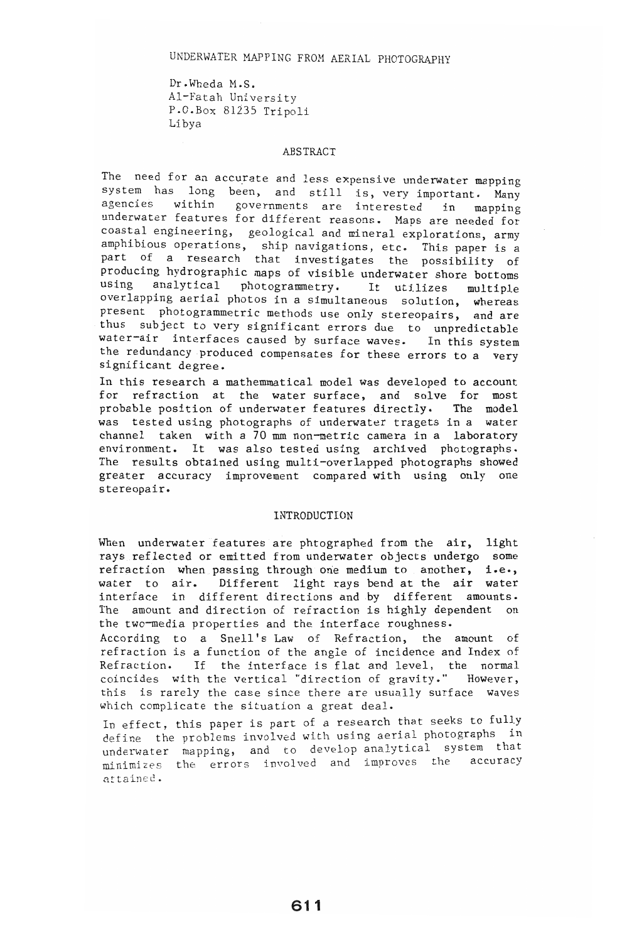## UNDERWATER MAPPING FROM AERIAL PHOTOGRAPHY

Dr.Wheda M.S. ur.wneda M.S.<br>Al-Fatah University Altratan University<br>P.O.Box 81235 Tripoli P.O.Box 81235 Tripoli<br>Libya

### ABSTRACT

 $\sum_{i=1}^{n}$ The need for an accurate and less expensive underwater mapping.<br>system, has long been, and still is week. system has long been, and still is, very important. Many agencies within governments are interested in mapping<br>underwater features for different reasons. Maps are needed for muerwater reatures for different reasons. Maps are needed for coastal engineering, geological and mineral explorations, army mpnibious operations, ship navigations, etc. This paper is a part of a research that investigates the possibility of<br>unducing hydrographic maps of visible bottoms in the control producing hydrographic maps of visible underwater shore bottoms using analytical photogrammetry. It utilizes multiple overlapping aerial photos in a simultaneous solution, whereas present photogrammetric methods use only stereopairs, and are thus subject to very significant errors due to unpredictable water-air interfaces caused by surface waves. In this system the redundancy produced compensates for these errors to a very significant degree. In this research a mathemmatical model was developed to account

n this research a mathemmatical model was developed to account or refraction at the water-surface, and solve for most<br>rebable cosition of underwater features directly. The model robable position of underwater features directly. The model was tested using photographs of underwater tragets in a water channel taken with a 70 mm non-metric camera in a laboratory environment. It was also tested using archived photographs. The results obtained using multi-overlapped photographs showed<br>greater accuracy improvement compared with using only one stereopair ..

#### INTRODUCTION

When underwater features are phtographed from the air, light hen underwater features are phtographed from the air, light rays reflected or emitted from underwater objects undergo some refraction when passing through one medium to another, i.e., water to air. Different light rays bend at the air water interface in different directions and by different amounts. The amount and direction of refraction is highly dependent on the two-media properties and the interface roughness.

According to a Snell's Law of Refraction, the amount of refraction is a function of the angle of incidence and Index of efraction. If the interface is flat and level, the normal<br>wind he with the seculoral "direction of constitue", However, pincides with the vertical "direction of gravity." However,<br>wis is rarely the case since there are usually surface waves this is rarely the case since there are usually surface waves which complicate the situation a great deal. In the first complicate the situation a great deal.<br>The contract is part of a research that seeks to fully

deffect, this paper is part of a research that seeks to iully define the problems involved with using aerial photographs in underwater mapping, and to develop analytical system that minimizes the errors involved and improves the accuracy<br>attained.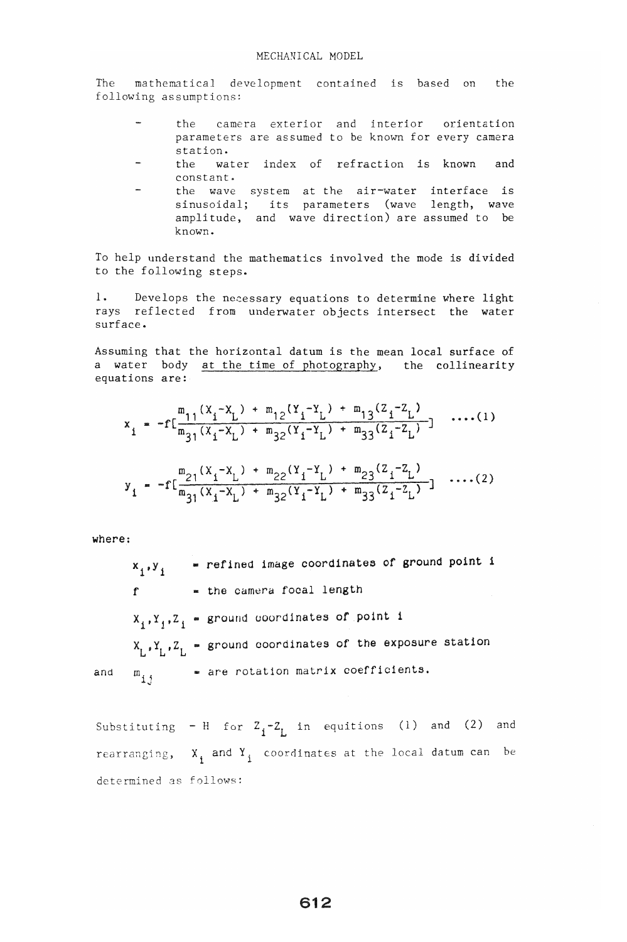The mathe~qtical development contained is based on the e mathematical deve

- the camera exterior and interior orientation parameters are assumed to be known for every camera.<br>In the camera can cannot be known for every camera irameters<br>.....
- the water index of refrection is known and constant. nstant.<br>se wave system at the air-water interface is
- e wave system at the air-water interface is<br>myseidal; its parameters (wave length, wave sinusoidal; its parameters (wave length, wave amplitude, and wave direction) are assumed to be known.

To help understand the mathematics involved the mode is divided to the following steps.

1. Develops the necessary equations to determine where light Develops the necessary equations to determine where light rays reflected from underwater objects intersect the water<br>surface.

Assuming that the horizontal datum is the mean local surface of suming that the horizontal datum is the mean local surface of a water body at the time of photography, the collinearity equations are:

$$
x_{i} = -f\left[\frac{m_{11}(X_{i} - X_{L}) + m_{12}(Y_{i} - Y_{L}) + m_{13}(Z_{i} - Z_{L})}{m_{31}(X_{i} - X_{L}) + m_{32}(Y_{i} - Y_{L}) + m_{33}(Z_{i} - Z_{L})}\right] \dots (1)
$$

$$
y_{i} = -f\left[\frac{m_{21}(X_{i} - X_{L}) + m_{22}(Y_{i} - Y_{L}) + m_{23}(Z_{i} - Z_{L})}{m_{31}(X_{i} - X_{L}) + m_{32}(Y_{i} - Y_{L}) + m_{33}(Z_{i} - Z_{L})}\right] \dots (2)
$$

where:

\_ refined image coordinates of ground poInt 1  $x_1, y_1$ - the camera focal length  $\mathbf{f}$  $Y_1, Z_1$  = ground coordinates of point i  $X_L, Y_L, Z_L$  - ground coordinates of the exposure station and  $m_{i,i}$  = are rotation matrix coefficients.

Substituting - H for  $Z_i-Z_i$  in equitions (1) and (2) and rearranging,  $X_i$  and  $Y_i$  coordinates at the local datum can be determined as follows: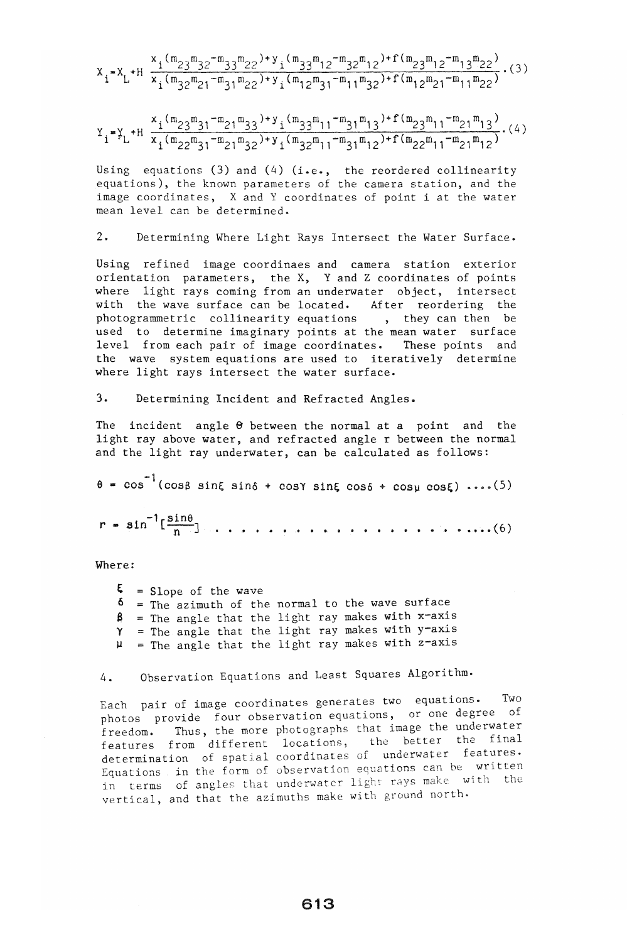$$
x_{1} = x_{L} + H \frac{x_{1}(m_{23}m_{32} - m_{33}m_{22}) + y_{1}(m_{33}m_{12} - m_{32}m_{12}) + f(m_{23}m_{12} - m_{13}m_{22})}{x_{1}(m_{32}m_{21} - m_{31}m_{22}) + y_{1}(m_{12}m_{31} - m_{11}m_{32}) + f(m_{12}m_{21} - m_{11}m_{22})} \tag{3}
$$

$$
Y_{i} = Y_{L} + H \frac{x_{i}(m_{23}m_{31} - m_{21}m_{33}) + y_{i}(m_{33}m_{11} - m_{31}m_{13}) + f(m_{23}m_{11} - m_{21}m_{13})}{x_{i}(m_{22}m_{31} - m_{21}m_{32}) + y_{i}(m_{32}m_{11} - m_{31}m_{12}) + f(m_{22}m_{11} - m_{21}m_{12})} \cdot (4)
$$

Using equations (3) and (4) (i.e., the reordered collinearity equations), the known parameters of the camera station, and the image coordinates, X and Y coordinates of point i at the water mean level can be determined.

## 2. Determining Where Light Rays Intersect the Water Surface.

Using refined image coordinaes and camera station exterior orientation parameters, the X, Y and Z coordinates of points where light rays coming from an underwater object, intersect with the wave surface can be located. After reordering the photogrammetric collinearity equations , they can then be used to determine imaginary points at the mean water surface level from each pair of image coordinates. These points and the wave system equations are used to iteratively determine where light rays intersect the water surface.

3. Determining Incident and Refracted Angles.

The incident angle  $\Theta$  between the normal at a point and the light ray above water, and refracted angle r between the normal and the light ray underwater, can be calculated as follows:

 $=$   $\cos^{-1}$  (cos8 sinE sino + cosy sinE coso + cosy cosE) .... (5) r - <sup>1</sup>-'(Sine a n -n-] • • .• • .. • • • •. • • • • • • • • .. •• .• " ••. ( 6 )

Where:

- ξ = Slope of the wave
- = The azimuth of the normal to the wave surface  $\delta$
- = The angle that the light ray makes with x-axis β
- The angle that the light ray makes with y-axis  $\gamma$
- = The angle that the light ray makes with z-axis

# 4. Observation Equations and Least Squares Algorithm.

Each pair of image coordinates generates two equations. Two photos provide four observation equations, or one degree of freedom. Thus, the more photographs that image the underwater reedom. Inus, the more photographs that image one can have eatures from different focations, the better one. Equations in the form of observation equations can be written in terms of angles that underwater light rays make with the vertical, and that the azimuths make with ground north.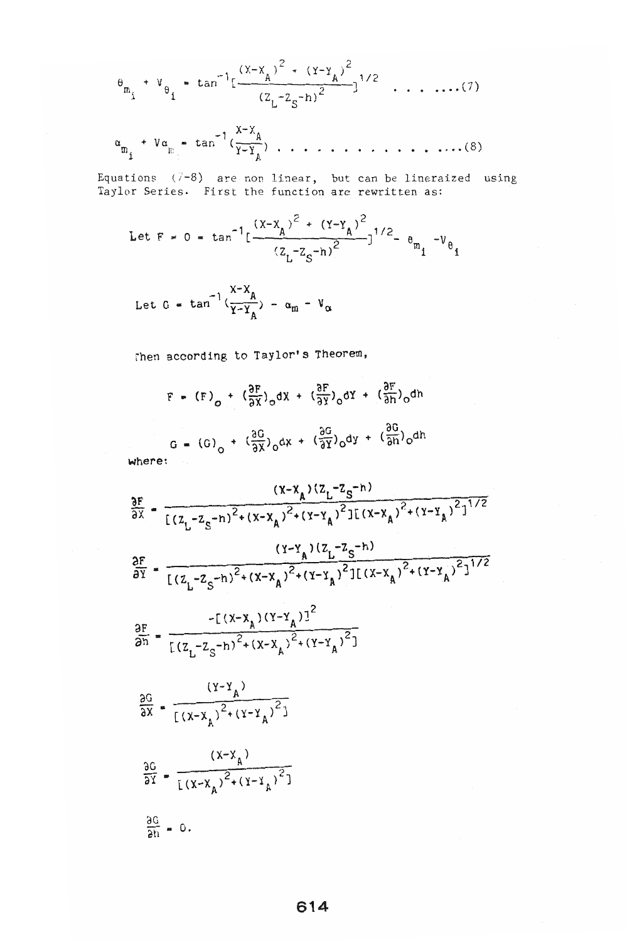$$
\theta_{m_i} + V_{\theta_i} = \tan^{-1} \left[ \frac{(x - x_A)^2 + (y - y_A)^2}{(z_L - z_S - h)^2} \right]^{1/2}
$$
 ... ....(7)

. . . ., • • • • ..•. ( 8 )

 $F$  ( $(7-8)$  are non linear, but can be lineraized using uations (7-8) are non linear, but can be lineraize<br>Wer Series. First the function are rewritten as:

Let F = 0 = tan<sup>-1</sup>[
$$
\frac{(x-x_A)^2 + (y-y_A)^2}{(z_L-z_S-n)^2}
$$
]<sup>1/2</sup> -  $\theta_{m_i}$  - $v_{\theta_i}$ 

Let G = tan<sup>-1</sup>
$$
\left(\frac{X-X_A}{Y-Y_A}\right)
$$
 -  $\alpha_m - V_\alpha$ 

rhen according to Taylor's Theorem,

$$
F = (F)_{0} + (\frac{\partial F}{\partial X})_{0}dx + (\frac{\partial F}{\partial Y})_{0}dy + (\frac{\partial F}{\partial Y})_{0}dh
$$
  

$$
G = (G)_{0} + (\frac{\partial G}{\partial X})_{0}dx + (\frac{\partial G}{\partial Y})_{0}dy + (\frac{\partial G}{\partial n})_{0}dh
$$

$$
\frac{\partial F}{\partial x} = \frac{(x-x_A)(z_L - z_S - h)}{[(z_L - z_S - h)^2 + (x-x_A)^2 + (y-x_A)^2][(x-x_A)^2 + (y-x_A)^2]^{1/2}}
$$
\n
$$
\frac{\partial F}{\partial y} = \frac{(y-x_A)(z_L - z_S - h)}{[(z_L - z_S - h)^2 + (x-x_A)^2 + (y-x_A)^2][(x-x_A)^2 + (y-x_A)^2]^{1/2}}
$$
\n
$$
\frac{\partial F}{\partial h} = \frac{-[(x-x_A)(y-x_A)^2 + (y-x_A)^2]}{[(z_L - z_S - h)^2 + (x-x_A)^2 + (y-x_A)^2]}
$$
\n
$$
\frac{\partial G}{\partial x} = \frac{(y-x_A)}{x_A}
$$

$$
\frac{\partial x}{\partial G} = \frac{1}{(1 - x_A)^2 + (x - x_A)^2}
$$

$$
\frac{\partial G}{\partial Y} = \frac{(x-x_A)^2 + (y-x_A)^2}{(x-x_A)^2 + (y-x_A)^2}
$$

 $\frac{\partial u}{\partial x} = 0.$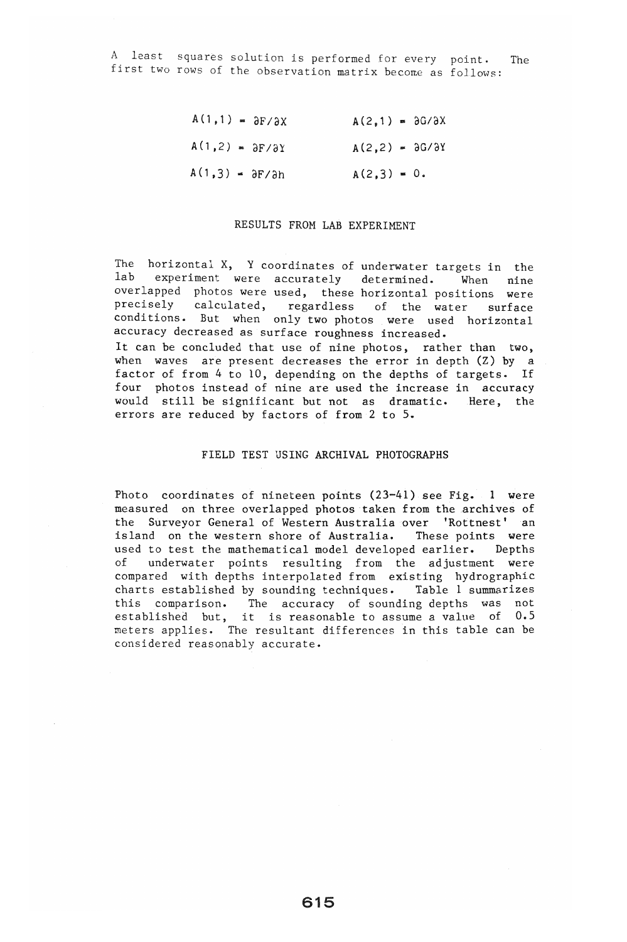A least squares solution is performed for every point. The first two rows of the observation matrix become as follows:

> $A(1,1) = \partial F/\partial X$   $A(2,1) = \partial G/\partial X$  $A(1,2) = \partial F/\partial Y$   $A(2,2) = \partial G/\partial Y$  $A(1,3) = \frac{\partial F}{\partial h}$   $A(2,3) = 0.$

## RESULTS FROM LAB EXPERIMENT

The horizontal X, Y coordinates of underwater targets in the lab experiment were accurately determined. When nine overlapped photos were used, these horizontal positions were precisely calculated, regardless of the water surface conditions. But when only two photos were used horizontal accuracy decreased as surface roughness increased. It can be concluded that use of nine photos, rather than two, when waves are present decreases the error in depth (Z) by a factor of from 4 to 10, depending on the depths of targets. If four photos instead of nine are used the increase in accuracy would still be significant but not as dramatic. Here, the errors are reduced by factors of from 2 to 5.

## FIELD TEST USING ARCHIVAL PHOTOGRAPHS

Photo coordinates of nineteen points  $(23-41)$  see Fig. 1 were measured on three overlapped photos taken from the archives of the Surveyor General of Western Australia over 'Rottnest' an island on the western shore of Australia. These points were used to test the mathematical model developed earlier. Depths of underwater points resulting from the adjustment were compared with depths interpolated from existing hydrographic charts established by sounding techniques. Table 1 summarizes that comparison. The accuracy of sounding depths was not nis comparison. The accuracy of sounding-depths was not<br>stablished but, it is reasonable-to-assume-a-value of 0.5 meters applies. The resultant differences in this table can be considered reasonably accurate.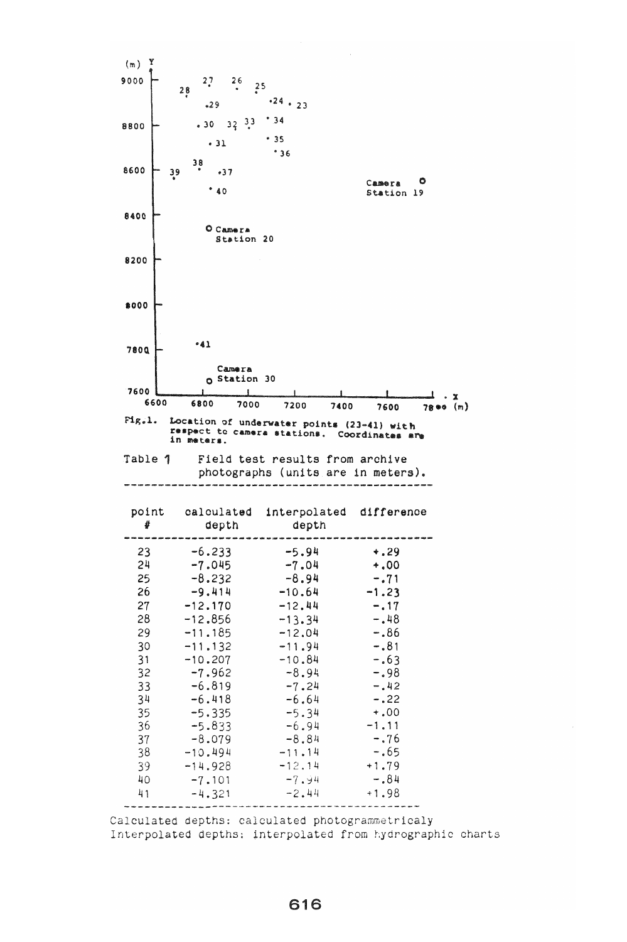

Interpolated depths: interpolated from hydrographic charts